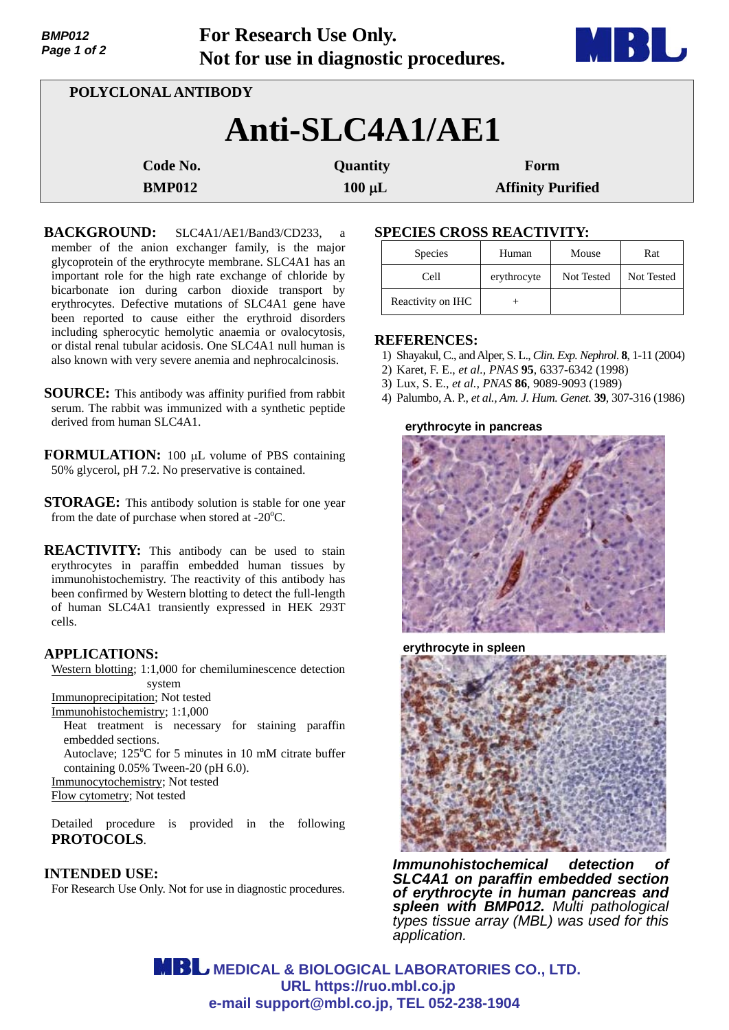| <b>BMP012</b><br>Page 1 of 2 |                     | For Research Use Only.<br>Not for use in diagnostic procedures. |                          |  |  |
|------------------------------|---------------------|-----------------------------------------------------------------|--------------------------|--|--|
|                              | POLYCLONAL ANTIBODY |                                                                 |                          |  |  |
|                              |                     | Anti-SLC4A1/AE1                                                 |                          |  |  |
|                              | Code No.            | Quantity                                                        | Form                     |  |  |
|                              | <b>BMP012</b>       | $100 \mu L$                                                     | <b>Affinity Purified</b> |  |  |

**For Research Use Only.**

**BACKGROUND:** SLC4A1/AE1/Band3/CD233, a member of the anion exchanger family, is the major glycoprotein of the erythrocyte membrane. SLC4A1 has an important role for the high rate exchange of chloride by bicarbonate ion during carbon dioxide transport by erythrocytes. Defective mutations of SLC4A1 gene have been reported to cause either the erythroid disorders including spherocytic hemolytic anaemia or ovalocytosis, or distal renal tubular acidosis. One SLC4A1 null human is also known with very severe anemia and nephrocalcinosis.

- **SOURCE:** This antibody was affinity purified from rabbit serum. The rabbit was immunized with a synthetic peptide derived from human SLC4A1.
- **FORMULATION:** 100 µL volume of PBS containing 50% glycerol, pH 7.2. No preservative is contained.
- **STORAGE:** This antibody solution is stable for one year from the date of purchase when stored at  $-20^{\circ}$ C.

**REACTIVITY:** This antibody can be used to stain erythrocytes in paraffin embedded human tissues by immunohistochemistry. The reactivity of this antibody has been confirmed by Western blotting to detect the full-length of human SLC4A1 transiently expressed in HEK 293T cells.

## **APPLICATIONS:**

Western blotting; 1:1,000 for chemiluminescence detection system

Immunoprecipitation; Not tested Immunohistochemistry; 1:1,000

Heat treatment is necessary for staining paraffin embedded sections.

Autoclave; 125°C for 5 minutes in 10 mM citrate buffer containing 0.05% Tween-20 (pH 6.0).

Immunocytochemistry; Not tested

Flow cytometry; Not tested

Detailed procedure is provided in the following **PROTOCOLS**.

#### **INTENDED USE:**

For Research Use Only. Not for use in diagnostic procedures.

# **SPECIES CROSS REACTIVITY:**

| <b>Species</b>    | Human       | Mouse      | Rat        |
|-------------------|-------------|------------|------------|
| Cell              | erythrocyte | Not Tested | Not Tested |
| Reactivity on IHC |             |            |            |

**All Development** 

#### **REFERENCES:**

- 1) Shayakul, C., and Alper, S. L., *Clin. Exp. Nephrol*. **8**, 1-11 (2004)
- 2) Karet, F. E., *et al., PNAS* **95**, 6337-6342 (1998)
- 3) Lux, S. E., *et al., PNAS* **86**, 9089-9093 (1989)
- 4) Palumbo, A. P., *et al., Am. J. Hum. Genet.* **39**, 307-316 (1986)

#### **erythrocyte in pancreas**



**erythrocyte in spleen**



*Immunohistochemical detection of SLC4A1 on paraffin embedded section of erythrocyte in human pancreas and spleen with BMP012. Multi pathological types tissue array (MBL) was used for this application.*

**MBL** MEDICAL & BIOLOGICAL LABORATORIES CO., LTD.  **URL https://ruo.mbl.co.jp e-mail support@mbl.co.jp, TEL 052-238-1904**